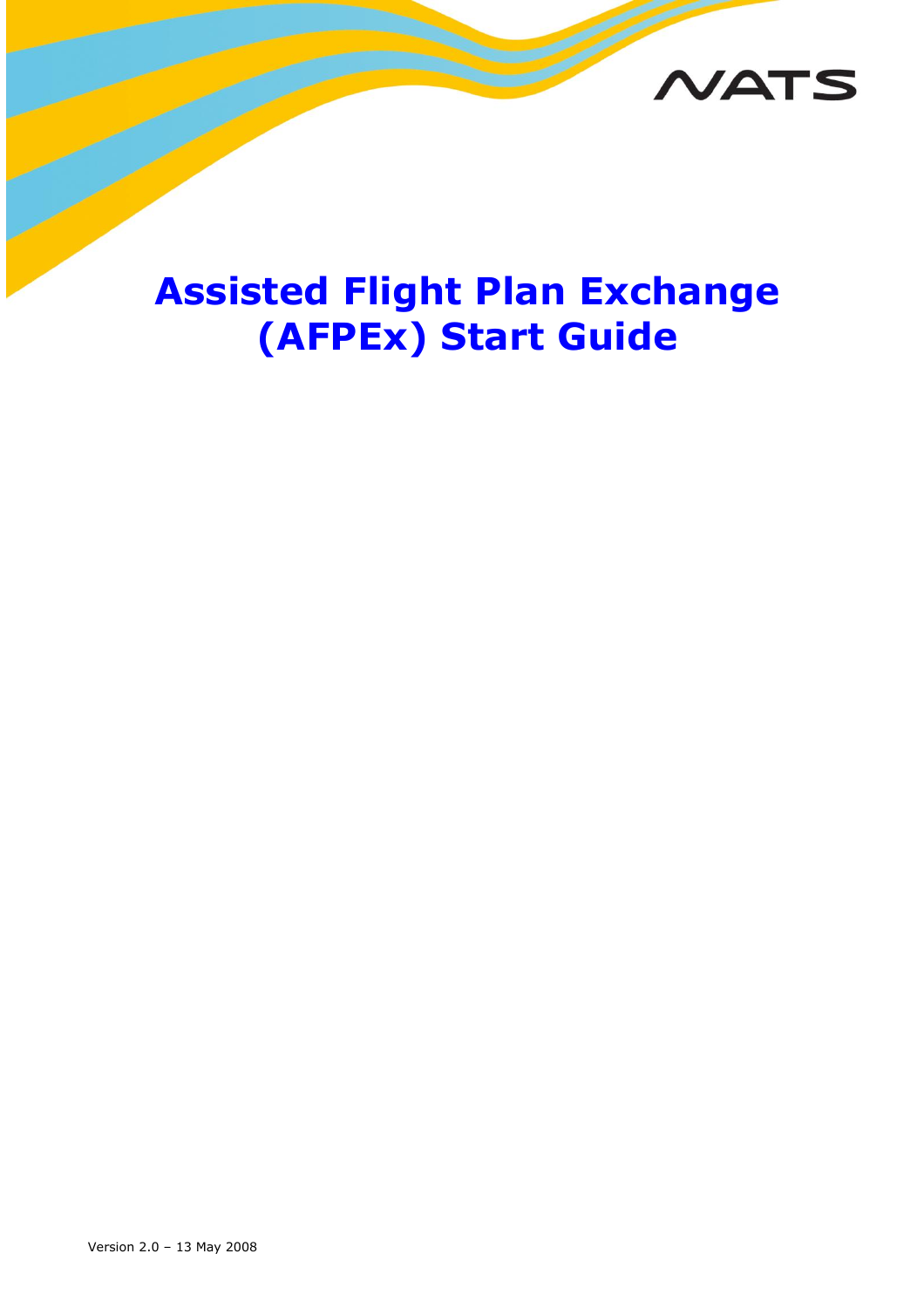

# **Assisted Flight Plan Exchange (AFPEx) Start Guide**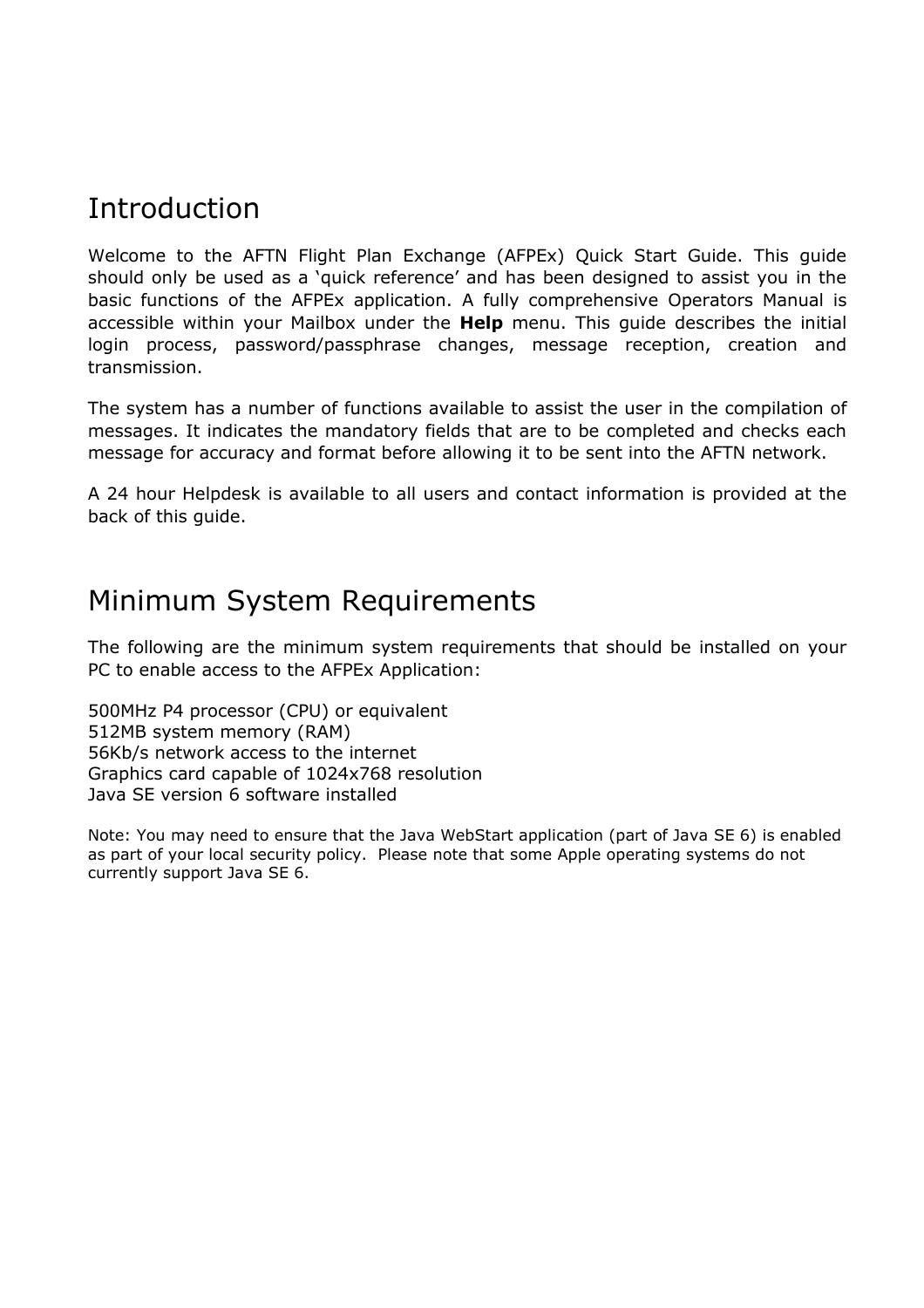### Introduction

Welcome to the AFTN Flight Plan Exchange (AFPEx) Quick Start Guide. This guide should only be used as a "quick reference" and has been designed to assist you in the basic functions of the AFPEx application. A fully comprehensive Operators Manual is accessible within your Mailbox under the **Help** menu. This guide describes the initial login process, password/passphrase changes, message reception, creation and transmission.

The system has a number of functions available to assist the user in the compilation of messages. It indicates the mandatory fields that are to be completed and checks each message for accuracy and format before allowing it to be sent into the AFTN network.

A 24 hour Helpdesk is available to all users and contact information is provided at the back of this guide.

### Minimum System Requirements

The following are the minimum system requirements that should be installed on your PC to enable access to the AFPEx Application:

500MHz P4 processor (CPU) or equivalent 512MB system memory (RAM) 56Kb/s network access to the internet Graphics card capable of 1024x768 resolution Java SE version 6 software installed

Note: You may need to ensure that the Java WebStart application (part of Java SE 6) is enabled as part of your local security policy. Please note that some Apple operating systems do not currently support Java SE 6.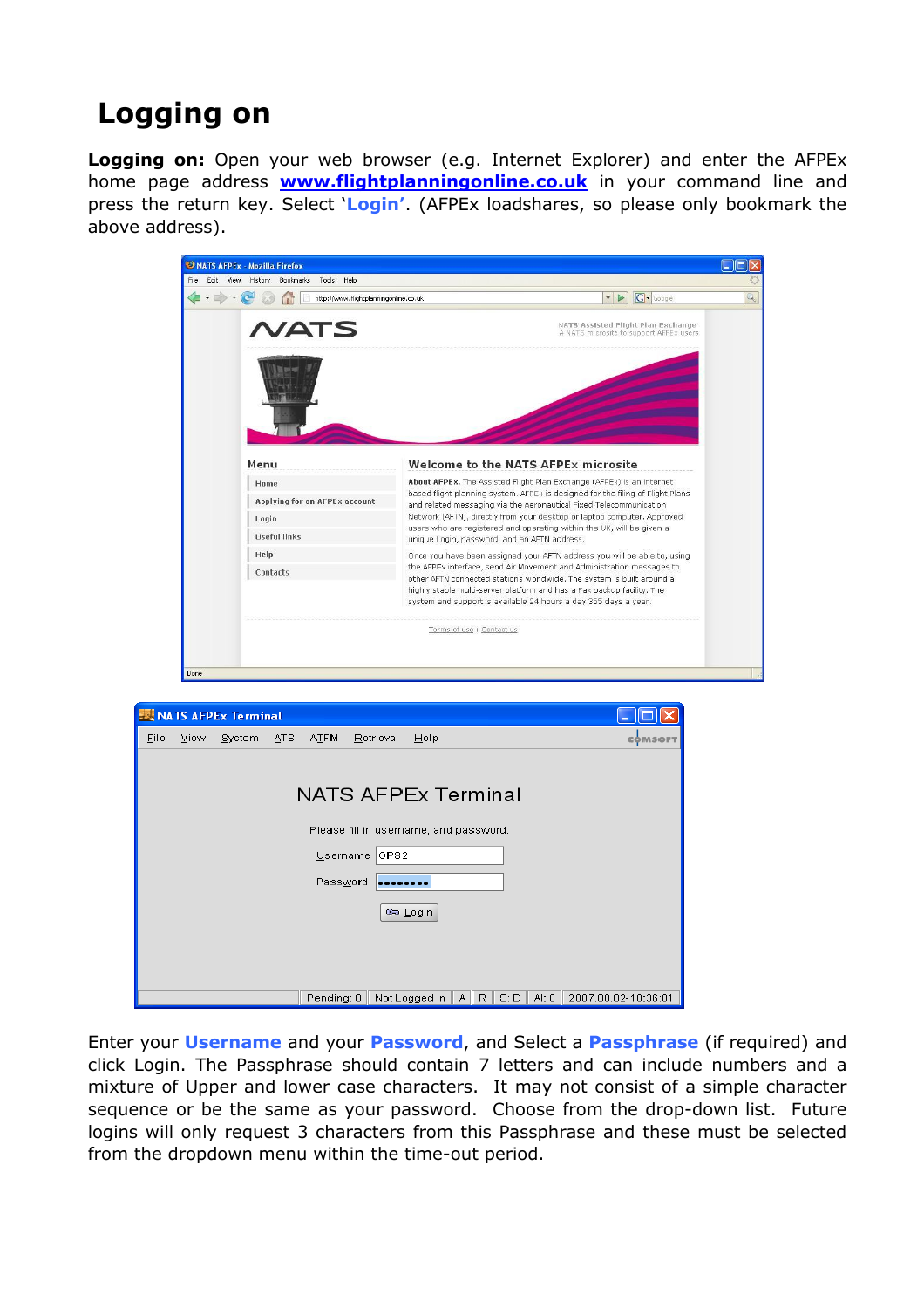## **Logging on**

**Logging on:** Open your web browser (e.g. Internet Explorer) and enter the AFPEx home page address **[www.flightplanningonline.co.uk](http://www.flightplanningonline.co.uk/)** in your command line and press the return key. Select "**Login'**. (AFPEx loadshares, so please only bookmark the above address).



| <b>NATS AFPEx Terminal</b>                                        |                           |
|-------------------------------------------------------------------|---------------------------|
| ATS<br>Eile<br>System<br><b>ATFM</b><br>Retrieval<br>Help<br>View | COMSOFT                   |
|                                                                   |                           |
| <b>NATS AFPEx Terminal</b>                                        |                           |
| Please fill in username, and password.                            |                           |
| Username OPS2                                                     |                           |
| Password<br>                                                      |                           |
| ® Login                                                           |                           |
|                                                                   |                           |
|                                                                   |                           |
| Pending: 0   Not Logged In   A   R  <br>S: D                      | AI: 0 2007.08.02-10:36:01 |

Enter your **Username** and your **Password**, and Select a **Passphrase** (if required) and click Login. The Passphrase should contain 7 letters and can include numbers and a mixture of Upper and lower case characters. It may not consist of a simple character sequence or be the same as your password. Choose from the drop-down list. Future logins will only request 3 characters from this Passphrase and these must be selected from the dropdown menu within the time-out period.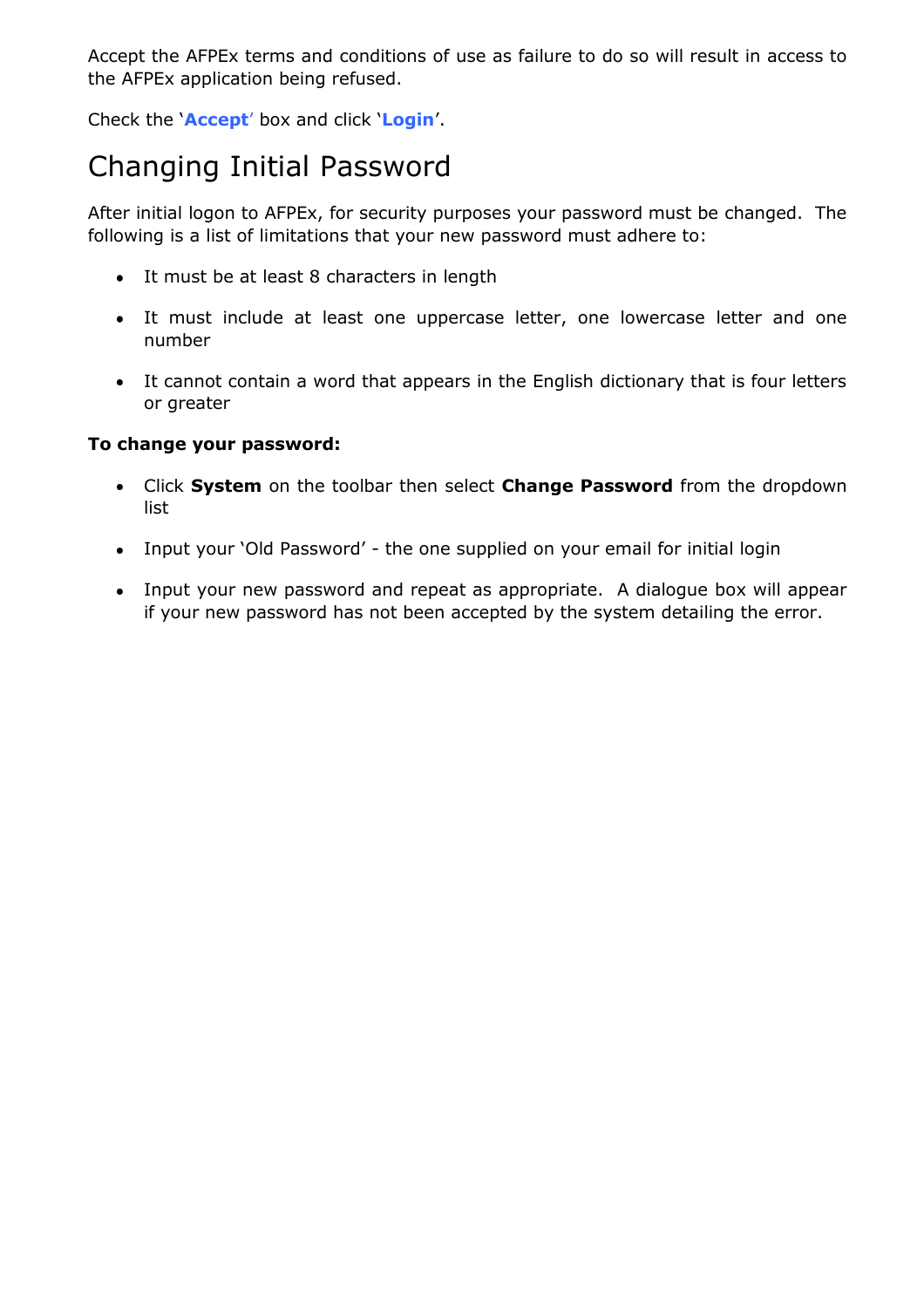Accept the AFPEx terms and conditions of use as failure to do so will result in access to the AFPEx application being refused.

Check the "**Accept**" box and click "**Login**".

### Changing Initial Password

After initial logon to AFPEx, for security purposes your password must be changed. The following is a list of limitations that your new password must adhere to:

- It must be at least 8 characters in length
- It must include at least one uppercase letter, one lowercase letter and one number
- It cannot contain a word that appears in the English dictionary that is four letters or greater

#### **To change your password:**

- Click **System** on the toolbar then select **Change Password** from the dropdown list
- Input your 'Old Password' the one supplied on your email for initial login
- Input your new password and repeat as appropriate. A dialogue box will appear if your new password has not been accepted by the system detailing the error.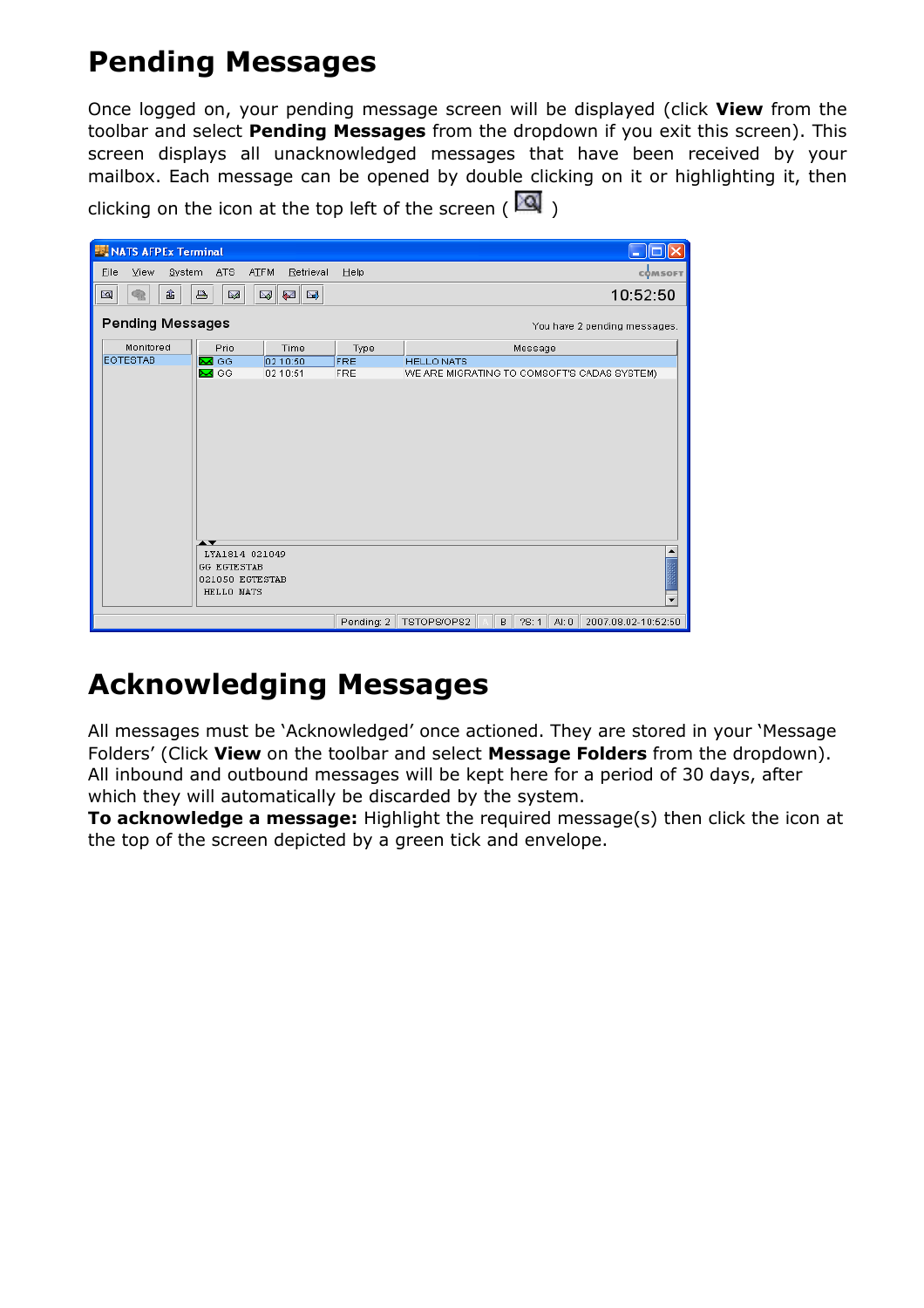## **Pending Messages**

Once logged on, your pending message screen will be displayed (click **View** from the toolbar and select **Pending Messages** from the dropdown if you exit this screen). This screen displays all unacknowledged messages that have been received by your mailbox. Each message can be opened by double clicking on it or highlighting it, then

clicking on the icon at the top left of the screen ( $\boxed{2}$ )

| NATS AFPEx Terminal     |                                      |                                   |            |                                                          |
|-------------------------|--------------------------------------|-----------------------------------|------------|----------------------------------------------------------|
| Eile<br>View<br>System  | ATS                                  | <b>ATFM</b><br>Retrieval          | Help       | COMSOFT                                                  |
| 酓<br>$\infty$<br>q      | ê.<br>$\sum_{i=1}^{n}$               | $\sum_{i=1}^{n}$<br>⊠<br><b>A</b> |            | 10:52:50                                                 |
| <b>Pending Messages</b> |                                      |                                   |            | You have 2 pending messages.                             |
| Monitored               | Prio                                 | Time                              | Type       | Message                                                  |
| <b>EGTESTAB</b>         | $\overline{\mathsf{M}}$ GG           | 02 10:50                          | <b>FRE</b> | <b>HELLO NATS</b>                                        |
|                         | $\overline{\mathsf{M}}$ GG           | 02 10:51                          | <b>FRE</b> | WE ARE MIGRATING TO COMSOFT'S CADAS SYSTEM)              |
|                         | ∗▼                                   |                                   |            |                                                          |
|                         | LYA1814 021049<br><b>GG EGTESTAB</b> |                                   |            |                                                          |
|                         | 021050 EGTESTAB                      |                                   |            |                                                          |
|                         | HELLO NATS                           |                                   |            |                                                          |
|                         |                                      |                                   |            |                                                          |
|                         |                                      |                                   | Pending: 2 | B<br>AI: 0<br>TSTOPS/OPS2<br>7S:1<br>2007.08.02-10:52:50 |

### **Acknowledging Messages**

All messages must be "Acknowledged" once actioned. They are stored in your "Message Folders" (Click **View** on the toolbar and select **Message Folders** from the dropdown). All inbound and outbound messages will be kept here for a period of 30 days, after which they will automatically be discarded by the system.

**To acknowledge a message:** Highlight the required message(s) then click the icon at the top of the screen depicted by a green tick and envelope.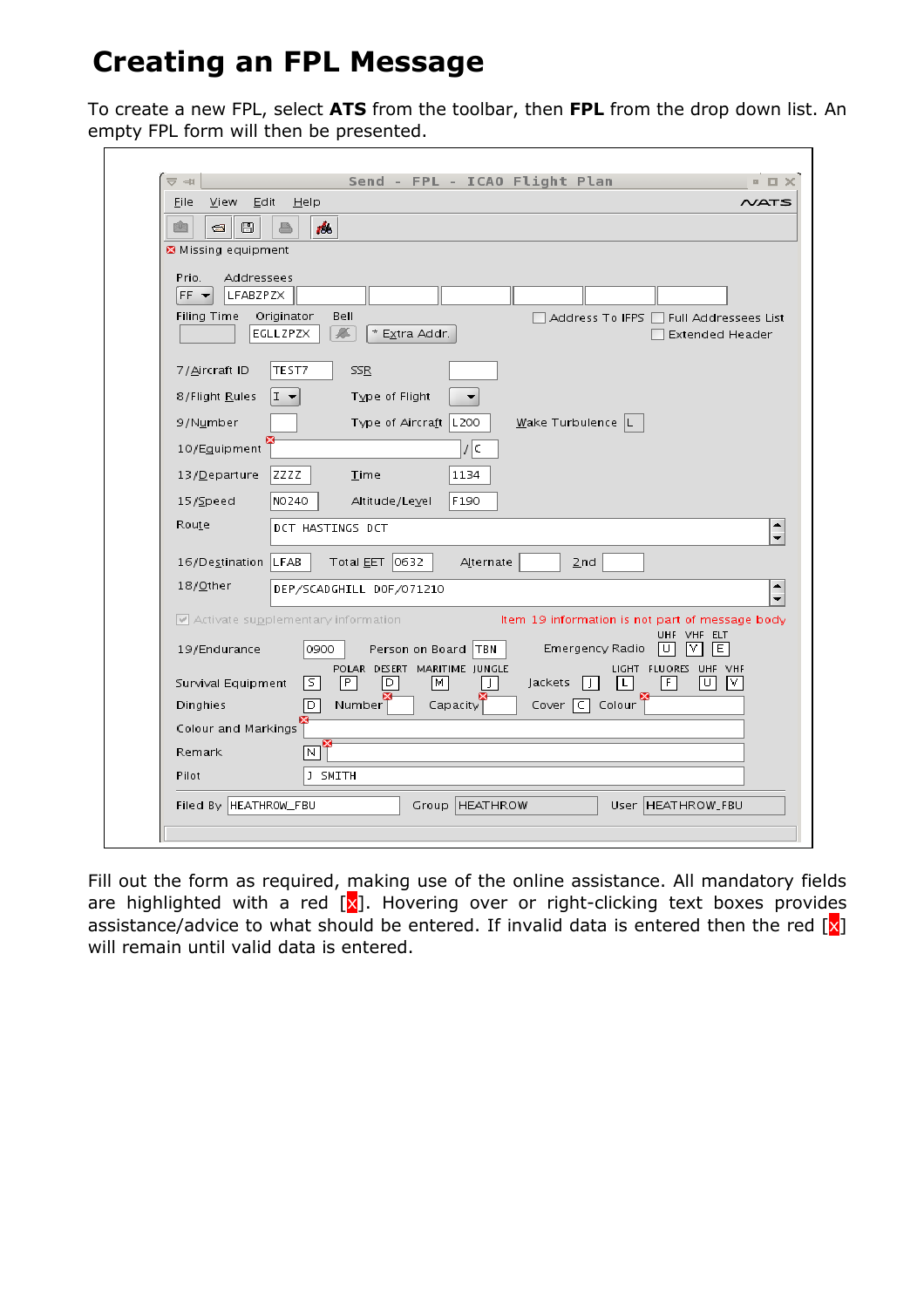## **Creating an FPL Message**

To create a new FPL, select **ATS** from the toolbar, then **FPL** from the drop down list. An empty FPL form will then be presented.

| View Edit<br>Help<br>File             | NATS                                                                                                              |
|---------------------------------------|-------------------------------------------------------------------------------------------------------------------|
| Á.<br>哅<br>₩<br>$\sqrt{2}$            |                                                                                                                   |
| Missing equipment                     |                                                                                                                   |
| Addressees<br>Prio.                   |                                                                                                                   |
| LFABZPZX<br>$FF -$                    |                                                                                                                   |
| Originator<br>Filing Time<br>EGLLZPZX | Bell<br>Address To IFPS<br>Full Addressees List<br>Æ.<br>* Extra Addr.<br><b>Extended Header</b>                  |
|                                       |                                                                                                                   |
| TEST7<br>7/Aircraft ID                | <b>SSR</b>                                                                                                        |
| $I -$<br>8/Flight Rules               | Type of Flight                                                                                                    |
| 9/Number                              | Wake Turbulence  L<br>Type of Aircraft   L200                                                                     |
| 10/Equipment                          | 1 <sup>2</sup>                                                                                                    |
| ZZZZ<br>13/ <u>D</u> eparture         | 1134<br>Time                                                                                                      |
|                                       | F190                                                                                                              |
| NO240<br>15/Speed                     | Altitude/Level                                                                                                    |
| Route<br>DCT HASTINGS DCT             |                                                                                                                   |
| 16/Destination   LFAB                 | Total EET 0632<br>Alternate<br>2nd                                                                                |
| 18/ <u>O</u> ther                     | DEP/SCADGHILL DOF/071210                                                                                          |
| Activate supplementary information    | Item 19 information is not part of message body                                                                   |
|                                       | UHF VHF ELT                                                                                                       |
| 0900<br>19/Endurance                  | Person on Board TBN<br>Emergency Radio<br>٧<br>E  <br>ΙU<br>POLAR DESERT MARITIME JUNGLE<br>LIGHT FLUORES UHF VHF |
| 5<br>Survival Equipment               | P <br> M <br>Jackets<br>F<br>٧<br>D<br>L                                                                          |
| Dinghies<br>ID.                       | Number<br>Cover $\boxed{C}$ Colour<br>Capacity                                                                    |
| Colour and Markings                   |                                                                                                                   |
| Remark<br>N                           |                                                                                                                   |
| J SMITH<br>Pilot                      |                                                                                                                   |
| Filed By HEATHROW_FBU                 | <b>HEATHROW</b><br>User HEATHROW_FBU<br>Group                                                                     |

Fill out the form as required, making use of the online assistance. All mandatory fields are highlighted with a red  $[x]$ . Hovering over or right-clicking text boxes provides assistance/advice to what should be entered. If invalid data is entered then the red  $\left[\mathbf{x}\right]$ will remain until valid data is entered.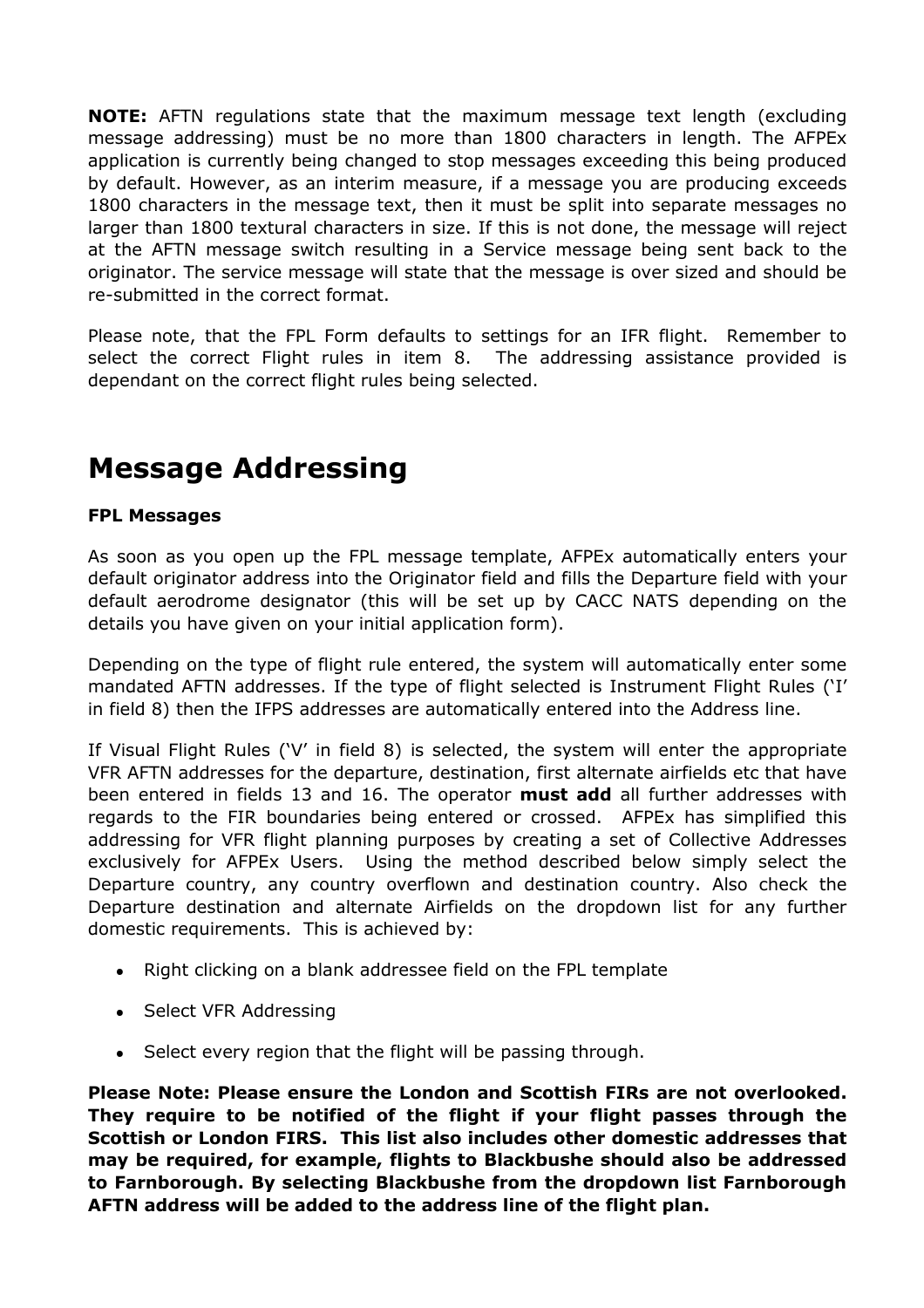**NOTE:** AFTN regulations state that the maximum message text length (excluding message addressing) must be no more than 1800 characters in length. The AFPEx application is currently being changed to stop messages exceeding this being produced by default. However, as an interim measure, if a message you are producing exceeds 1800 characters in the message text, then it must be split into separate messages no larger than 1800 textural characters in size. If this is not done, the message will reject at the AFTN message switch resulting in a Service message being sent back to the originator. The service message will state that the message is over sized and should be re-submitted in the correct format.

Please note, that the FPL Form defaults to settings for an IFR flight. Remember to select the correct Flight rules in item 8. The addressing assistance provided is dependant on the correct flight rules being selected.

### **Message Addressing**

#### **FPL Messages**

As soon as you open up the FPL message template, AFPEx automatically enters your default originator address into the Originator field and fills the Departure field with your default aerodrome designator (this will be set up by CACC NATS depending on the details you have given on your initial application form).

Depending on the type of flight rule entered, the system will automatically enter some mandated AFTN addresses. If the type of flight selected is Instrument Flight Rules ('I' in field 8) then the IFPS addresses are automatically entered into the Address line.

If Visual Flight Rules ("V" in field 8) is selected, the system will enter the appropriate VFR AFTN addresses for the departure, destination, first alternate airfields etc that have been entered in fields 13 and 16. The operator **must add** all further addresses with regards to the FIR boundaries being entered or crossed. AFPEx has simplified this addressing for VFR flight planning purposes by creating a set of Collective Addresses exclusively for AFPEx Users. Using the method described below simply select the Departure country, any country overflown and destination country. Also check the Departure destination and alternate Airfields on the dropdown list for any further domestic requirements. This is achieved by:

- Right clicking on a blank addressee field on the FPL template
- Select VFR Addressing
- Select every region that the flight will be passing through.

**Please Note: Please ensure the London and Scottish FIRs are not overlooked. They require to be notified of the flight if your flight passes through the Scottish or London FIRS. This list also includes other domestic addresses that may be required, for example, flights to Blackbushe should also be addressed to Farnborough. By selecting Blackbushe from the dropdown list Farnborough AFTN address will be added to the address line of the flight plan.**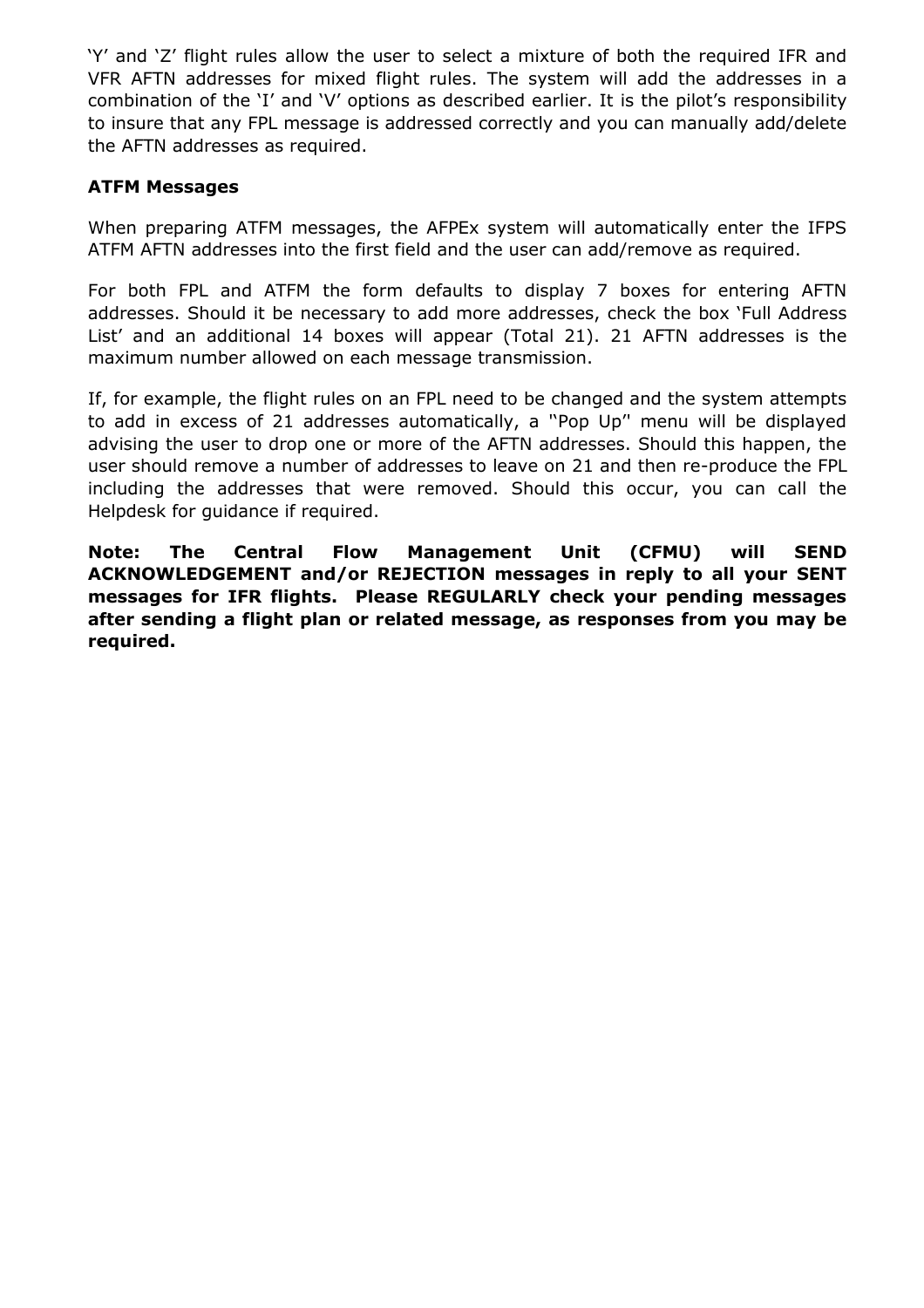"Y' and 'Z' flight rules allow the user to select a mixture of both the required IFR and VFR AFTN addresses for mixed flight rules. The system will add the addresses in a combination of the 'I' and 'V' options as described earlier. It is the pilot's responsibility to insure that any FPL message is addressed correctly and you can manually add/delete the AFTN addresses as required.

#### **ATFM Messages**

When preparing ATFM messages, the AFPEx system will automatically enter the IFPS ATFM AFTN addresses into the first field and the user can add/remove as required.

For both FPL and ATFM the form defaults to display 7 boxes for entering AFTN addresses. Should it be necessary to add more addresses, check the box "Full Address List' and an additional 14 boxes will appear (Total 21). 21 AFTN addresses is the maximum number allowed on each message transmission.

If, for example, the flight rules on an FPL need to be changed and the system attempts to add in excess of 21 addresses automatically, a '"Pop Up"' menu will be displayed advising the user to drop one or more of the AFTN addresses. Should this happen, the user should remove a number of addresses to leave on 21 and then re-produce the FPL including the addresses that were removed. Should this occur, you can call the Helpdesk for guidance if required.

**Note: The Central Flow Management Unit (CFMU) will SEND ACKNOWLEDGEMENT and/or REJECTION messages in reply to all your SENT messages for IFR flights. Please REGULARLY check your pending messages after sending a flight plan or related message, as responses from you may be required.**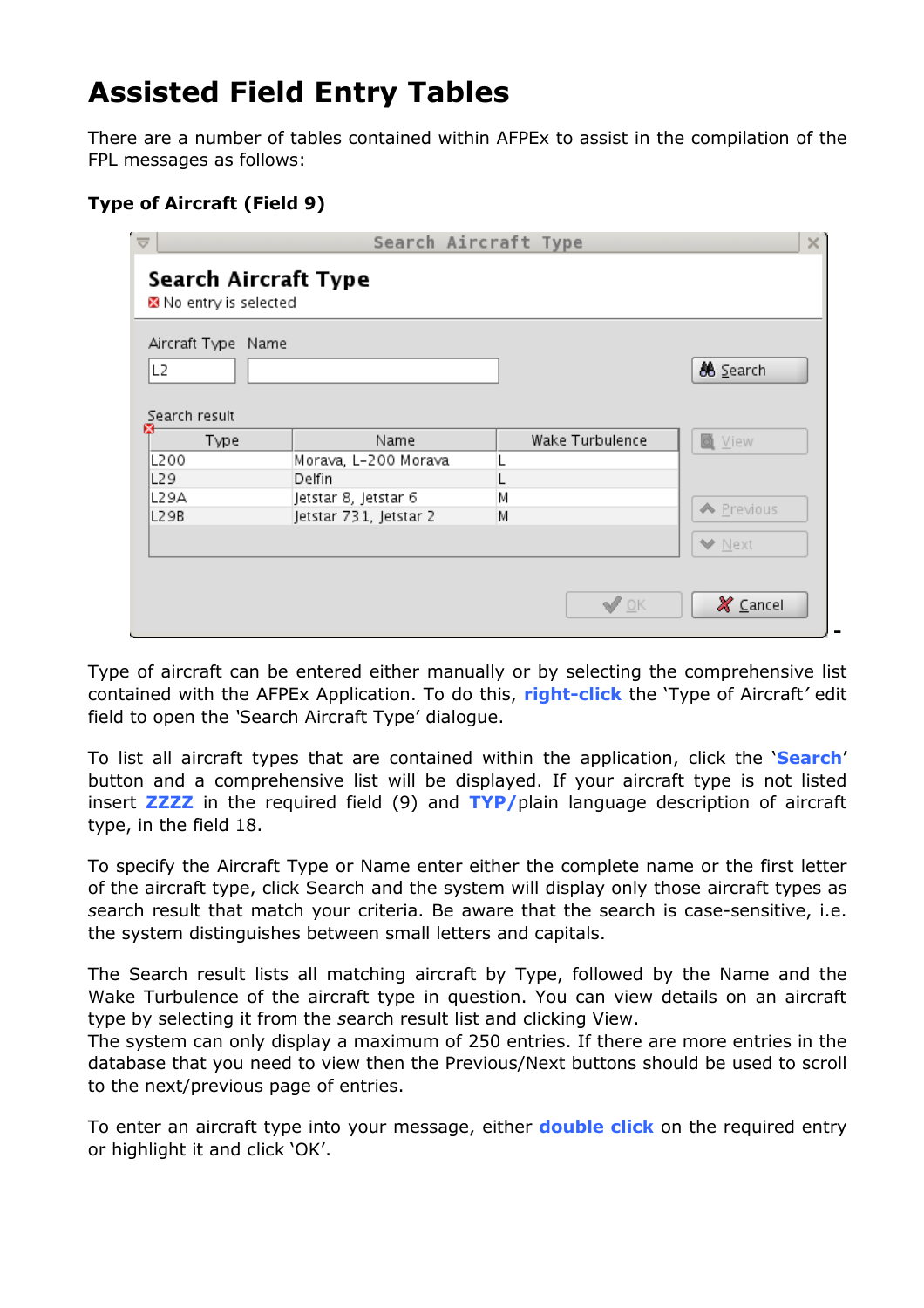## **Assisted Field Entry Tables**

There are a number of tables contained within AFPEx to assist in the compilation of the FPL messages as follows:

#### **Type of Aircraft (Field 9)**

| Aircraft Type Name |                        |                 |                  |  |
|--------------------|------------------------|-----------------|------------------|--|
| L <sub>2</sub>     |                        |                 | <b>86</b> Search |  |
|                    |                        |                 |                  |  |
|                    |                        |                 |                  |  |
| Search result<br>図 |                        |                 |                  |  |
| Type               | Name                   | Wake Turbulence | ■ View           |  |
| L200               | Morava, L-200 Morava   |                 |                  |  |
| L29                | Delfin                 |                 |                  |  |
| L29A               | Jetstar 8, Jetstar 6   | Μ               |                  |  |
| L29B               | Jetstar 731, Jetstar 2 | M               | ← Previous       |  |
|                    |                        |                 |                  |  |
|                    |                        |                 | ₩ Next           |  |

Type of aircraft can be entered either manually or by selecting the comprehensive list contained with the AFPEx Application. To do this, **right-click** the "Type of Aircraft*'* edit field to open the *'*Search Aircraft Type" dialogue.

To list all aircraft types that are contained within the application, click the "**Search**" button and a comprehensive list will be displayed. If your aircraft type is not listed insert **ZZZZ** in the required field (9) and **TYP/**plain language description of aircraft type, in the field 18.

To specify the Aircraft Type or Name enter either the complete name or the first letter of the aircraft type, click Search and the system will display only those aircraft types as *s*earch result that match your criteria. Be aware that the search is case-sensitive, i.e. the system distinguishes between small letters and capitals.

The Search result lists all matching aircraft by Type, followed by the Name and the Wake Turbulence of the aircraft type in question. You can view details on an aircraft type by selecting it from the *s*earch result list and clicking View.

The system can only display a maximum of 250 entries. If there are more entries in the database that you need to view then the Previous/Next buttons should be used to scroll to the next/previous page of entries.

To enter an aircraft type into your message, either **double click** on the required entry or highlight it and click "OK".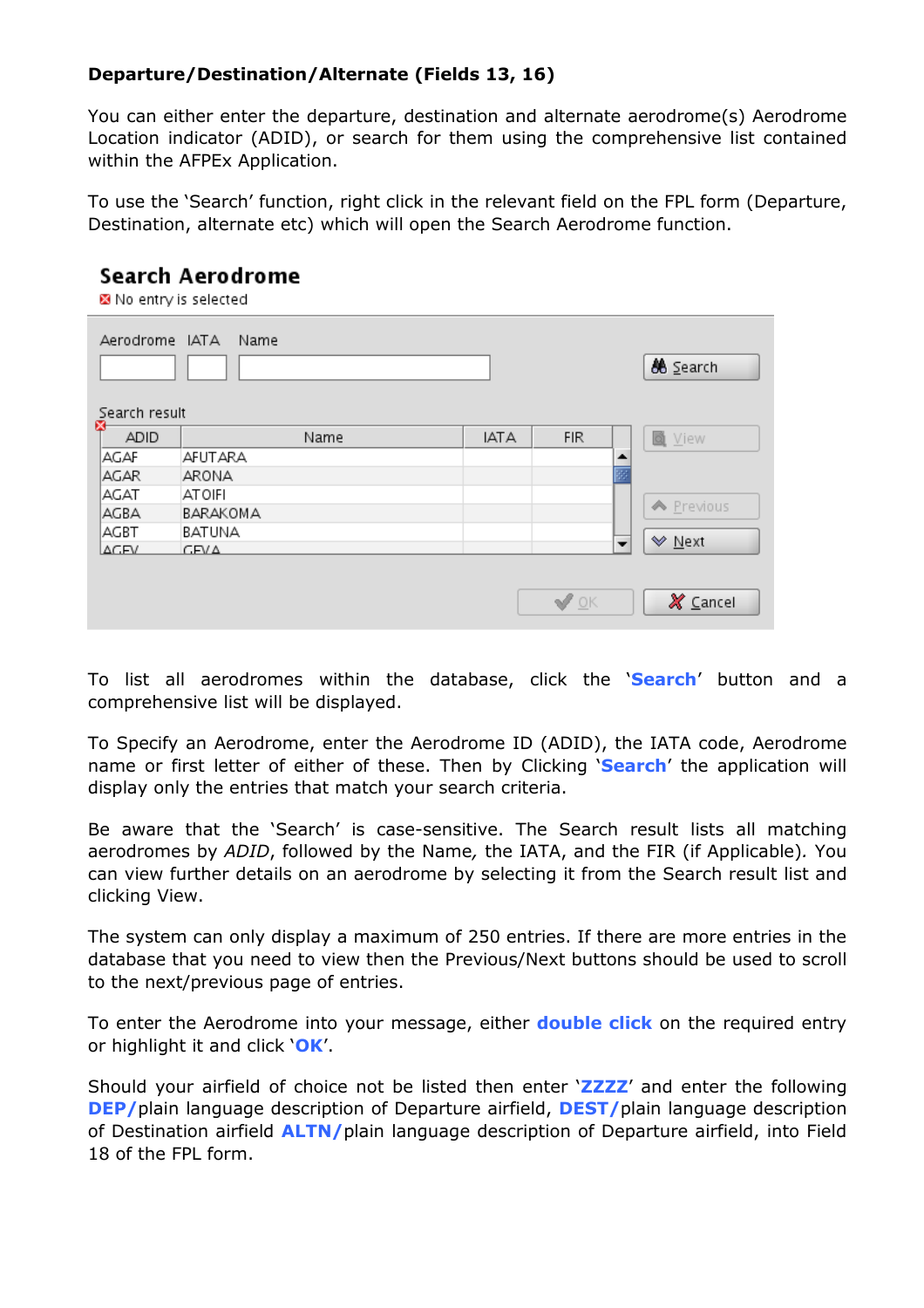#### **Departure/Destination/Alternate (Fields 13, 16)**

You can either enter the departure, destination and alternate aerodrome(s) Aerodrome Location indicator (ADID), or search for them using the comprehensive list contained within the AFPEx Application.

To use the "Search" function, right click in the relevant field on the FPL form (Departure, Destination, alternate etc) which will open the Search Aerodrome function.

#### Search Aerodrome

No entry is selected

| Aerodrome IATA<br>Search result | Name     |             |                          | <u>Search</u>       |
|---------------------------------|----------|-------------|--------------------------|---------------------|
| ₩<br>ADID                       | Name     | <b>IATA</b> | <b>FIR</b>               | <b>Q</b> View       |
| AGAF                            | AFUTARA  |             | ▲                        |                     |
| <b>AGAR</b>                     | ARONA    |             |                          |                     |
| AGAT                            | ATOIFI   |             |                          |                     |
| AGBA                            | BARAKOMA |             |                          | ← Previous          |
| <b>AGBT</b>                     | BATUNA   |             |                          |                     |
| AGEV                            | CEVA     |             | $\overline{\phantom{a}}$ | V Next              |
|                                 |          |             | $\sqrt{\mathbb{Q}}$ K    | $X \subseteq$ ancel |

To list all aerodromes within the database, click the "**Search**" button and a comprehensive list will be displayed.

To Specify an Aerodrome, enter the Aerodrome ID (ADID), the IATA code, Aerodrome name or first letter of either of these. Then by Clicking "**Search**" the application will display only the entries that match your search criteria.

Be aware that the 'Search' is case-sensitive. The Search result lists all matching aerodromes by *ADID*, followed by the Name*,* the IATA, and the FIR (if Applicable)*.* You can view further details on an aerodrome by selecting it from the Search result list and clicking View.

The system can only display a maximum of 250 entries. If there are more entries in the database that you need to view then the Previous/Next buttons should be used to scroll to the next/previous page of entries.

To enter the Aerodrome into your message, either **double click** on the required entry or highlight it and click "**OK**".

Should your airfield of choice not be listed then enter "**ZZZZ**" and enter the following **DEP/**plain language description of Departure airfield, **DEST/**plain language description of Destination airfield **ALTN/**plain language description of Departure airfield, into Field 18 of the FPL form.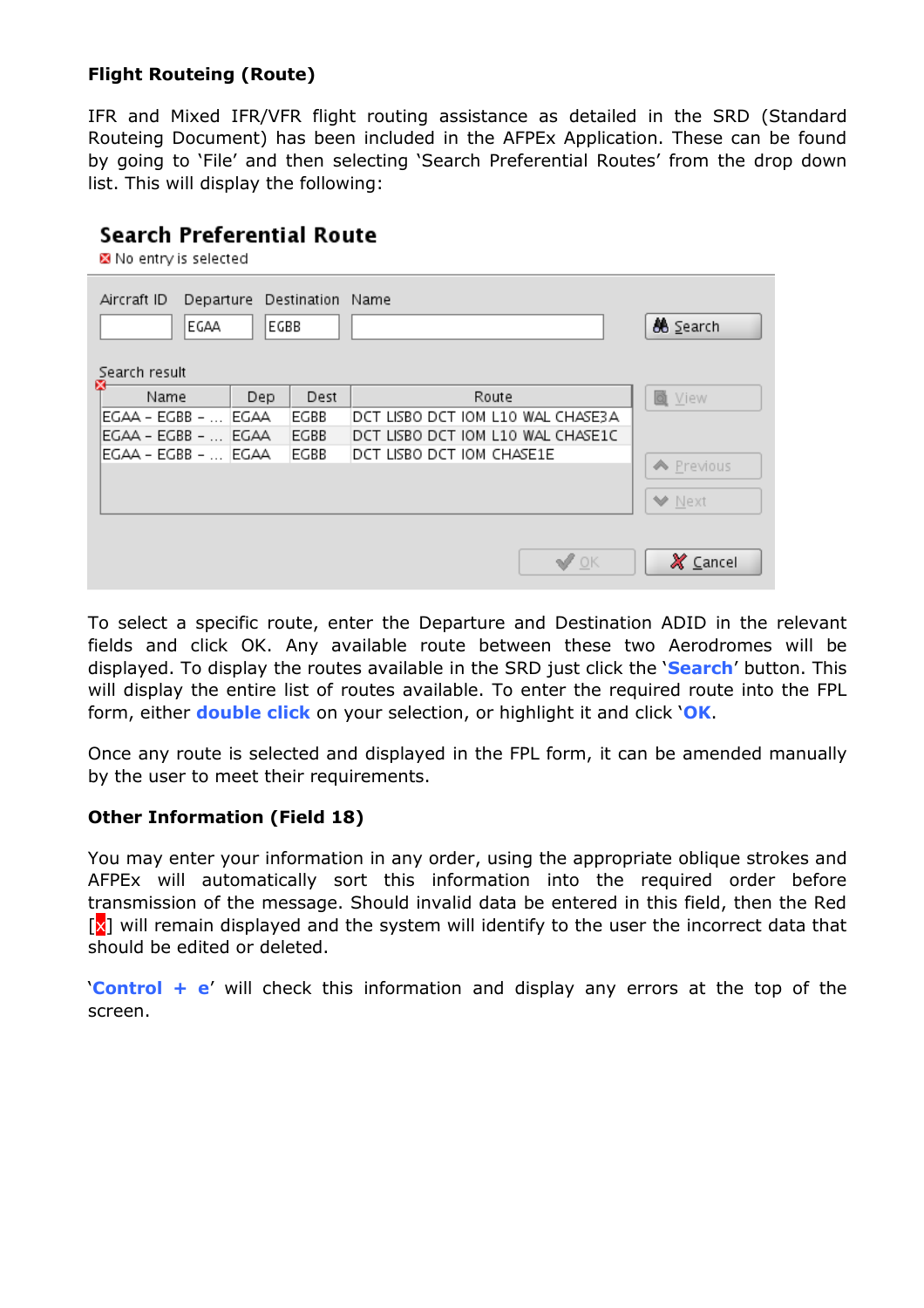#### **Flight Routeing (Route)**

IFR and Mixed IFR/VFR flight routing assistance as detailed in the SRD (Standard Routeing Document) has been included in the AFPEx Application. These can be found by going to 'File' and then selecting 'Search Preferential Routes' from the drop down list. This will display the following:

### Search Preferential Route

■ No entry is selected

| Aircraft ID<br>EGAA<br>Search result | EGBB | Departure Destination Name |                                   | <u>Search</u>           |
|--------------------------------------|------|----------------------------|-----------------------------------|-------------------------|
| ⊠<br>Name                            | Dep  | Dest                       | Route                             | 圖 View                  |
| EGAA – EGBB –   EGAA                 |      | EGBB                       | DCT LISBO DCT IOM L10 WAL CHASE3A |                         |
| IEGAA - EGBB -  IEGAA                |      | <b>EGBB</b>                | DCT LISBO DCT IOM L10 WAL CHASE1C |                         |
| EGAA - EGBB -   EGAA                 |      | EGBB                       | DCT LISBO DCT IOM CHASE1E         |                         |
|                                      |      |                            |                                   | ← Previous              |
|                                      |      |                            |                                   | <b>V</b> Next           |
|                                      |      |                            | $\sqrt{2}$ OK                     | $\boldsymbol{X}$ Cancel |

To select a specific route, enter the Departure and Destination ADID in the relevant fields and click OK. Any available route between these two Aerodromes will be displayed. To display the routes available in the SRD just click the "**Search**" button. This will display the entire list of routes available. To enter the required route into the FPL form, either **double click** on your selection, or highlight it and click "**OK**.

Once any route is selected and displayed in the FPL form, it can be amended manually by the user to meet their requirements.

#### **Other Information (Field 18)**

You may enter your information in any order, using the appropriate oblique strokes and AFPEx will automatically sort this information into the required order before transmission of the message. Should invalid data be entered in this field, then the Red  $\left[\frac{\mathbf{x}}{\mathbf{y}}\right]$  will remain displayed and the system will identify to the user the incorrect data that should be edited or deleted.

"**Control + e**" will check this information and display any errors at the top of the screen.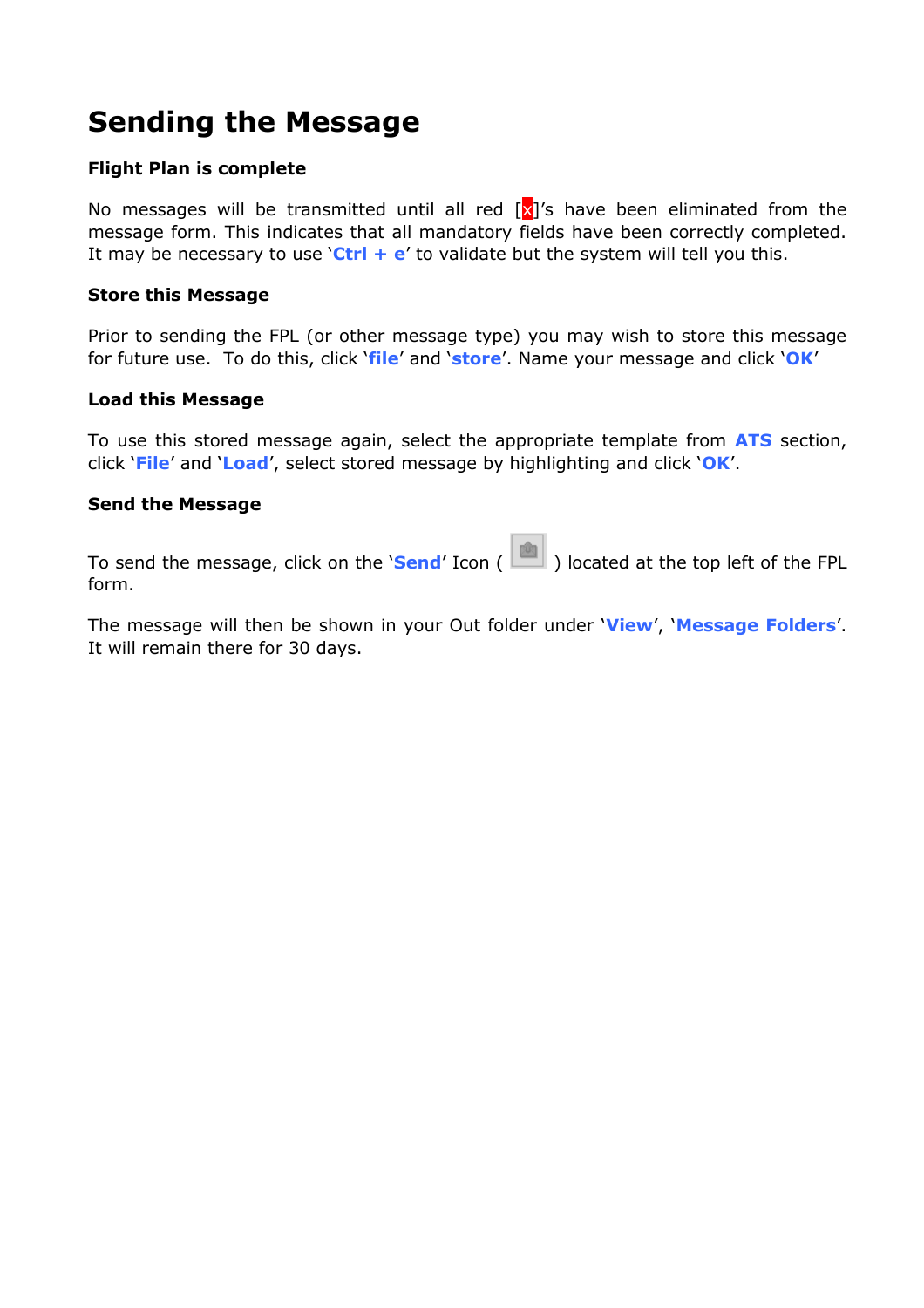### **Sending the Message**

#### **Flight Plan is complete**

No messages will be transmitted until all red  $[x]$ 's have been eliminated from the message form. This indicates that all mandatory fields have been correctly completed. It may be necessary to use "**Ctrl + e**" to validate but the system will tell you this.

#### **Store this Message**

Prior to sending the FPL (or other message type) you may wish to store this message for future use. To do this, click "**file**" and "**store**". Name your message and click "**OK**"

#### **Load this Message**

To use this stored message again, select the appropriate template from **ATS** section, click "**File**" and "**Load**", select stored message by highlighting and click "**OK**".

#### **Send the Message**

To send the message, click on the "**Send**" Icon ( ) located at the top left of the FPL form.

The message will then be shown in your Out folder under "**View**", "**Message Folders**". It will remain there for 30 days.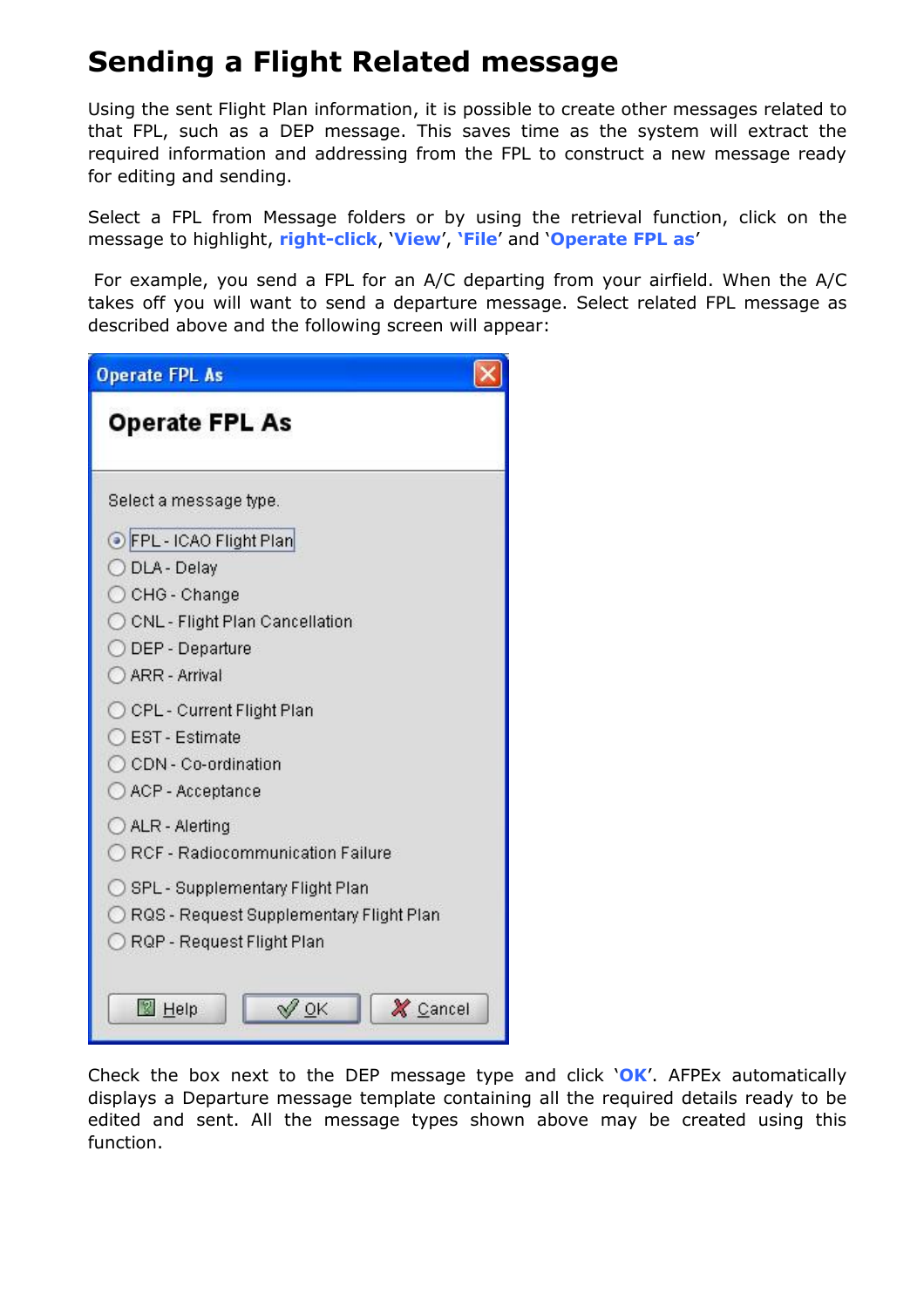### **Sending a Flight Related message**

Using the sent Flight Plan information, it is possible to create other messages related to that FPL, such as a DEP message. This saves time as the system will extract the required information and addressing from the FPL to construct a new message ready for editing and sending.

Select a FPL from Message folders or by using the retrieval function, click on the message to highlight, **right-click**, "**View**", **'File**" and "**Operate FPL as**"

For example, you send a FPL for an A/C departing from your airfield. When the A/C takes off you will want to send a departure message. Select related FPL message as described above and the following screen will appear:

| <b>Operate FPL As</b>                                                                                                                                         |
|---------------------------------------------------------------------------------------------------------------------------------------------------------------|
| <b>Operate FPL As</b>                                                                                                                                         |
| Select a message type.<br>FPL - ICAO Flight Plan<br>O DLA - Delay<br>C CHG - Change<br>C CNL - Flight Plan Cancellation<br>◯ DEP - Departure<br>ARR - Arrival |
| C CPL - Current Flight Plan<br><b>CEST</b> - Estimate<br>CCDN - Co-ordination<br>◯ ACP - Acceptance                                                           |
| ALR - Alerting<br>RCF - Radiocommunication Failure<br>SPL - Supplementary Flight Plan<br>RQS - Request Supplementary Flight Plan<br>RQP - Request Flight Plan |
| X Cancel<br>$\mathcal{N}$ OK<br>$\frac{1}{2}$ Help                                                                                                            |

Check the box next to the DEP message type and click "**OK**". AFPEx automatically displays a Departure message template containing all the required details ready to be edited and sent. All the message types shown above may be created using this function.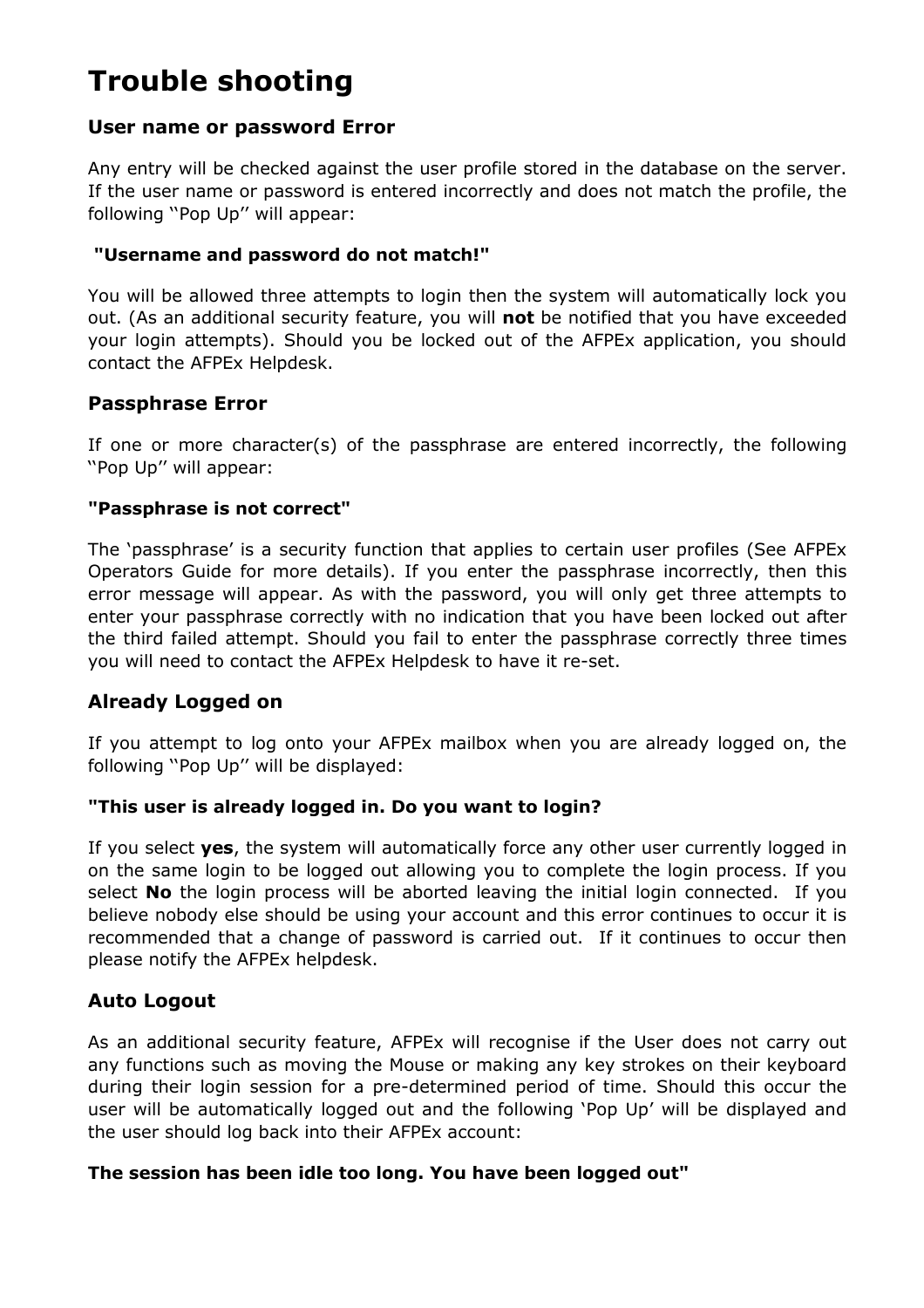## **Trouble shooting**

#### **User name or password Error**

Any entry will be checked against the user profile stored in the database on the server. If the user name or password is entered incorrectly and does not match the profile, the following "Pop Up" will appear:

#### **"Username and password do not match!"**

You will be allowed three attempts to login then the system will automatically lock you out. (As an additional security feature, you will **not** be notified that you have exceeded your login attempts). Should you be locked out of the AFPEx application, you should contact the AFPEx Helpdesk.

#### **Passphrase Error**

If one or more character(s) of the passphrase are entered incorrectly, the following "Pop Up" will appear:

#### **"Passphrase is not correct"**

The 'passphrase' is a security function that applies to certain user profiles (See AFPEx Operators Guide for more details). If you enter the passphrase incorrectly, then this error message will appear. As with the password, you will only get three attempts to enter your passphrase correctly with no indication that you have been locked out after the third failed attempt. Should you fail to enter the passphrase correctly three times you will need to contact the AFPEx Helpdesk to have it re-set.

### **Already Logged on**

If you attempt to log onto your AFPEx mailbox when you are already logged on, the following "Pop Up" will be displayed:

#### **"This user is already logged in. Do you want to login?**

If you select **yes**, the system will automatically force any other user currently logged in on the same login to be logged out allowing you to complete the login process. If you select **No** the login process will be aborted leaving the initial login connected. If you believe nobody else should be using your account and this error continues to occur it is recommended that a change of password is carried out. If it continues to occur then please notify the AFPEx helpdesk.

### **Auto Logout**

As an additional security feature, AFPEx will recognise if the User does not carry out any functions such as moving the Mouse or making any key strokes on their keyboard during their login session for a pre-determined period of time. Should this occur the user will be automatically logged out and the following "Pop Up" will be displayed and the user should log back into their AFPEx account:

#### **The session has been idle too long. You have been logged out"**